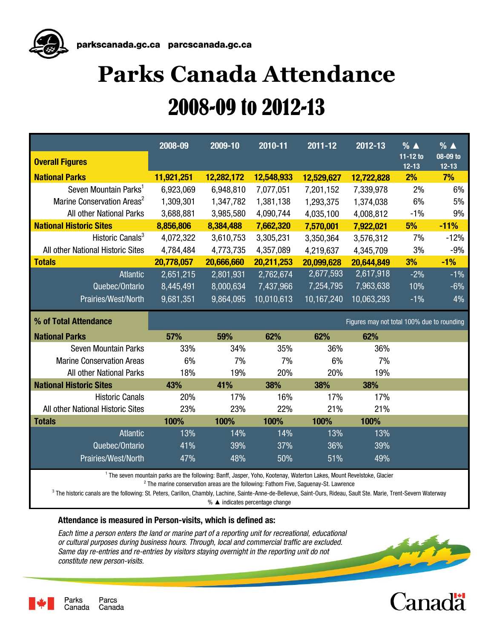

# **Parks Canada Attendance** 2008-09 to 2012-13

|                                        | 2008-09                                                                                                                           | 2009-10    | 2010-11    | 2011-12    | 2012-13                                    | $\frac{9}{6}$ $\triangle$ | $% \triangle$         |
|----------------------------------------|-----------------------------------------------------------------------------------------------------------------------------------|------------|------------|------------|--------------------------------------------|---------------------------|-----------------------|
| <b>Overall Figures</b>                 |                                                                                                                                   |            |            |            |                                            | 11-12 to<br>$12 - 13$     | 08-09 to<br>$12 - 13$ |
| <b>National Parks</b>                  | 11,921,251                                                                                                                        | 12,282,172 | 12,548,933 | 12,529,627 | 12,722,828                                 | 2%                        | 7%                    |
| Seven Mountain Parks <sup>1</sup>      | 6,923,069                                                                                                                         | 6,948,810  | 7,077,051  | 7,201,152  | 7,339,978                                  | 2%                        | 6%                    |
| Marine Conservation Areas <sup>2</sup> | 1,309,301                                                                                                                         | 1,347,782  | 1,381,138  | 1,293,375  | 1,374,038                                  | 6%                        | 5%                    |
| All other National Parks               | 3,688,881                                                                                                                         | 3,985,580  | 4,090,744  | 4,035,100  | 4,008,812                                  | $-1%$                     | 9%                    |
| <b>National Historic Sites</b>         | 8,856,806                                                                                                                         | 8,384,488  | 7,662,320  | 7,570,001  | 7,922,021                                  | 5%                        | $-11%$                |
| Historic Canals <sup>3</sup>           | 4,072,322                                                                                                                         | 3,610,753  | 3,305,231  | 3,350,364  | 3,576,312                                  | 7%                        | $-12%$                |
| All other National Historic Sites      | 4,784,484                                                                                                                         | 4,773,735  | 4,357,089  | 4,219,637  | 4,345,709                                  | 3%                        | $-9%$                 |
| <b>Totals</b>                          | 20,778,057                                                                                                                        | 20,666,660 | 20,211,253 | 20,099,628 | 20,644,849                                 | 3%                        | $-1%$                 |
| <b>Atlantic</b>                        | 2,651,215                                                                                                                         | 2,801,931  | 2,762,674  | 2,677,593  | 2,617,918                                  | $-2%$                     | $-1%$                 |
| Quebec/Ontario<br>8,445,491            |                                                                                                                                   | 8,000,634  | 7,437,966  | 7,254,795  | 7,963,638                                  | 10%                       | $-6%$                 |
| Prairies/West/North                    | 9,681,351                                                                                                                         | 9,864,095  | 10,010,613 | 10,167,240 | 10,063,293                                 | $-1%$                     | 4%                    |
| % of Total Attendance                  |                                                                                                                                   |            |            |            | Figures may not total 100% due to rounding |                           |                       |
| <b>National Parks</b>                  | 57%                                                                                                                               | 59%        | 62%        | 62%        | 62%                                        |                           |                       |
| Seven Mountain Parks                   | 33%                                                                                                                               | 34%        | 35%        | 36%        | 36%                                        |                           |                       |
| <b>Marine Conservation Areas</b>       | 6%                                                                                                                                | 7%         | 7%         | 6%         | 7%                                         |                           |                       |
| All other National Parks               | 18%                                                                                                                               | 19%        | 20%        | 20%        | 19%                                        |                           |                       |
| <b>National Historic Sites</b>         | 43%                                                                                                                               | 41%        | 38%        | 38%        | 38%                                        |                           |                       |
| <b>Historic Canals</b>                 | 20%                                                                                                                               | 17%        | 16%        | 17%        | 17%                                        |                           |                       |
| All other National Historic Sites      | 23%                                                                                                                               | 23%        | 22%        | 21%        | 21%                                        |                           |                       |
| <b>Totals</b>                          | 100%                                                                                                                              | 100%       | 100%       | 100%       | 100%                                       |                           |                       |
| <b>Atlantic</b>                        | 13%                                                                                                                               | 14%        | 14%        | 13%        | 13%                                        |                           |                       |
| Quebec/Ontario                         | 41%                                                                                                                               | 39%        | 37%        | 36%        | 39%                                        |                           |                       |
| Prairies/West/North                    | 47%                                                                                                                               | 48%        | 50%        | 51%        | 49%                                        |                           |                       |
|                                        | <sup>1</sup> The seven mountain parks are the following: Banff, Jasper, Yoho, Kootenay, Waterton Lakes, Mount Revelstoke, Glacier |            |            |            |                                            |                           |                       |

2 The marine conservation areas are the following: Fathom Five, Saguenay-St. Lawrence

 $^3$  The historic canals are the following: St. Peters, Carillon, Chambly, Lachine, Sainte-Anne-de-Bellevue, Saint-Ours, Rideau, Sault Ste. Marie, Trent-Severn Waterway

% ▲ indicates percentage change

#### **Attendance is measured in Person-visits, which is defined as:**

*Each time a person enters the land or marine part of a reporting unit for recreational, educational or cultural purposes during business hours. Through, local and commercial traffic are excluded. Same day re-entries and re-entries by visitors staying overnight in the reporting unit do not constitute new person-visits.*





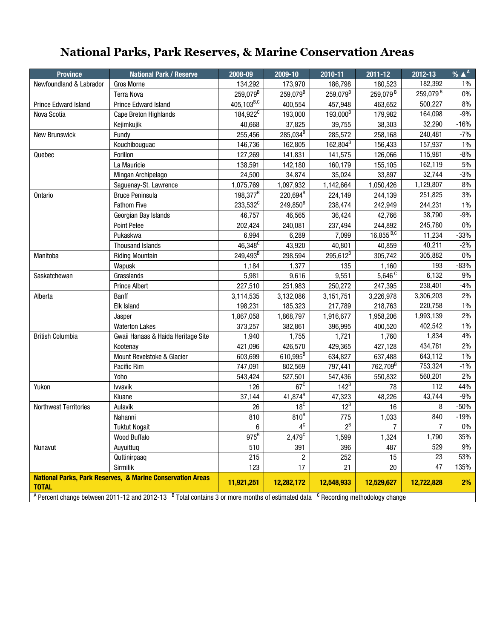# **National Parks, Park Reserves, & Marine Conservation Areas**

| <b>Province</b>                                                       | <b>National Park / Reserve</b>                                                                       | 2008-09                     | 2009-10                           | 2010-11              | 2011-12                                   | 2012-13              | $%$ $^{\mathsf{A}}$ |
|-----------------------------------------------------------------------|------------------------------------------------------------------------------------------------------|-----------------------------|-----------------------------------|----------------------|-------------------------------------------|----------------------|---------------------|
| Newfoundland & Labrador                                               | <b>Gros Morne</b>                                                                                    | 134,292                     | 173,970                           | 186,798              | 180,523                                   | 182,392              | 1%                  |
|                                                                       | <b>Terra Nova</b>                                                                                    | 259,079 <sup>B</sup>        | 259,079 <sup>B</sup>              | 259,079 <sup>B</sup> | 259,079 <sup>B</sup>                      | 259,079 <sup>B</sup> | $0\%$               |
| Prince Edward Island                                                  | Prince Edward Island                                                                                 | $405, 103^{B,\overline{C}}$ | 400,554                           | 457,948              | 463,652                                   | 500,227              | 8%                  |
| Nova Scotia                                                           | Cape Breton Highlands                                                                                | 184,922 <sup>C</sup>        | 193,000                           | 193,000 <sup>B</sup> | 179,982                                   | 164,098              | $-9%$               |
|                                                                       | Kejimkujik                                                                                           | 40,668                      | 37,825                            | 39,755               | 38,303                                    | 32,290               | $-16%$              |
| New Brunswick                                                         | Fundy                                                                                                | 255,456                     | 285,034 <sup>B</sup>              | 285,572              | 258,168                                   | 240,481              | -7%                 |
|                                                                       | Kouchibouguac                                                                                        | 146,736                     | 162,805                           | 162,804 <sup>B</sup> | 156,433                                   | 157,937              | $1\%$               |
| Quebec                                                                | Forillon                                                                                             | 127,269                     | 141,831                           | 141,575              | 126,066                                   | 115,981              | $-8%$               |
|                                                                       | La Mauricie                                                                                          | 138,591                     | 142,180                           | 160,179              | 155,105                                   | 162,119              | 5%                  |
|                                                                       | Mingan Archipelago                                                                                   | 24,500                      | 34,874                            | 35,024               | 33,897                                    | 32,744               | $-3%$               |
|                                                                       | Saguenay-St. Lawrence                                                                                | 1,075,769                   | 1,097,932                         | 1,142,664            | 1,050,426                                 | 1,129,807            | 8%                  |
| Ontario                                                               | <b>Bruce Peninsula</b>                                                                               | 198,377 <sup>B</sup>        | $220,694^B$                       | 224,149              | 244,139                                   | 251,825              | 3%                  |
|                                                                       | <b>Fathom Five</b>                                                                                   | 233,532 <sup>C</sup>        | 249,850 <sup>B</sup>              | 238,474              | 242,949                                   | 244,231              | 1%                  |
|                                                                       | Georgian Bay Islands                                                                                 | 46,757                      | 46,565                            | 36,424               | 42,766                                    | 38,790               | $-9%$               |
|                                                                       | <b>Point Pelee</b>                                                                                   | 202,424                     | 240,081                           | 237,494              | 244,892                                   | 245,780              | $0\%$               |
|                                                                       | Pukaskwa                                                                                             | 6,994                       | 6,289                             | 7,099                | $16,855^{B,C}$                            | 11,234               | $-33%$              |
|                                                                       | <b>Thousand Islands</b>                                                                              | $46,348^C$                  | 43,920                            | 40,801               | 40,859                                    | 40,211               | $-2%$               |
| Manitoba                                                              | <b>Riding Mountain</b>                                                                               | 249,493 <sup>B</sup>        | 298,594                           | $295,612^{B}$        | 305,742                                   | 305,882              | $0\%$               |
|                                                                       | Wapusk                                                                                               | 1,184                       | 1,377                             | 135                  | 1,160                                     | 193                  | $-83%$              |
| Saskatchewan                                                          | Grasslands                                                                                           | 5,981                       | 9,616                             | 9,551                | 5,646 <sup>c</sup>                        | 6,132                | 9%                  |
|                                                                       | <b>Prince Albert</b>                                                                                 | 227,510                     | 251,983                           | 250,272              | 247,395                                   | 238,401              | $-4%$               |
| Alberta                                                               | <b>Banff</b>                                                                                         | 3,114,535                   | 3,132,086                         | 3,151,751            | 3,226,978                                 | 3,306,203            | 2%                  |
|                                                                       | Elk Island                                                                                           | 198,231                     | 185,323                           | 217,789              | 218,763                                   | 220,758              | 1%                  |
|                                                                       | Jasper                                                                                               | 1,867,058                   | 1,868,797                         | 1,916,677            | 1,958,206                                 | 1,993,139            | 2%                  |
|                                                                       | <b>Waterton Lakes</b>                                                                                | 373,257                     | 382,861                           | 396,995              | 400,520                                   | 402,542              | $1\%$               |
| <b>British Columbia</b>                                               | Gwaii Hanaas & Haida Heritage Site                                                                   | 1,940                       | 1,755                             | 1,721                | 1,760                                     | 1,834                | 4%                  |
|                                                                       | Kootenay                                                                                             | 421,096                     | 426,570                           | 429,365              | 427,128                                   | 434,781              | 2%                  |
|                                                                       | Mount Revelstoke & Glacier                                                                           | 603,699                     | 610,995 <sup>B</sup>              | 634,827              | 637,488                                   | 643,112              | 1%                  |
|                                                                       | Pacific Rim                                                                                          | 747,091                     | 802,569                           | 797,441              | 762,709 <sup>B</sup>                      | 753,324              | $-1%$               |
|                                                                       | Yoho                                                                                                 | 543,424                     | 527,501                           | 547,436              | 550,832                                   | 560,201              | 2%                  |
| Yukon                                                                 | <b>Ivvavik</b>                                                                                       | 126                         | $67^{\circ}$                      | $142^B$              | 78                                        | 112                  | 44%                 |
|                                                                       | Kluane                                                                                               | 37,144                      | $41,874^{B}$                      | 47,323               | 48,226                                    | 43,744               | $-9%$               |
| <b>Northwest Territories</b>                                          | Aulavik                                                                                              | 26                          | 18 <sup>c</sup>                   | $12^B$               | 16                                        | 8                    | $-50%$              |
|                                                                       | Nahanni                                                                                              | 810                         | 810 <sup>B</sup>                  | 775                  | 1,033                                     | 840                  | $-19%$              |
|                                                                       | <b>Tuktut Nogait</b>                                                                                 | 6                           | 4 <sup>C</sup>                    | $2^B$                | $\overline{7}$                            | 7                    | 0%                  |
|                                                                       | <b>Wood Buffalo</b>                                                                                  | $975^B$                     | $2,479$ <sup><math>c</math></sup> | 1,599                | 1,324                                     | 1,790                | 35%                 |
| Nunavut                                                               | Auyuittug                                                                                            | 510                         | 391                               | 396                  | 487                                       | 529                  | 9%                  |
|                                                                       | Quttinirpaaq                                                                                         | 215                         | $\overline{2}$                    | 252                  | 15                                        | 23                   | 53%                 |
|                                                                       | Sirmilik                                                                                             | 123                         | 17                                | 21                   | 20                                        | 47                   | 135%                |
| <b>National Parks, Park Reserves, &amp; Marine Conservation Areas</b> |                                                                                                      | 11,921,251                  | 12,282,172                        | 12,548,933           | 12,529,627                                | 12,722,828           | 2%                  |
| <b>TOTAL</b>                                                          |                                                                                                      |                             |                                   |                      |                                           |                      |                     |
|                                                                       | $A$ Percent change between 2011-12 and 2012-13 $B$ Total contains 3 or more months of estimated data |                             |                                   |                      | <sup>c</sup> Recording methodology change |                      |                     |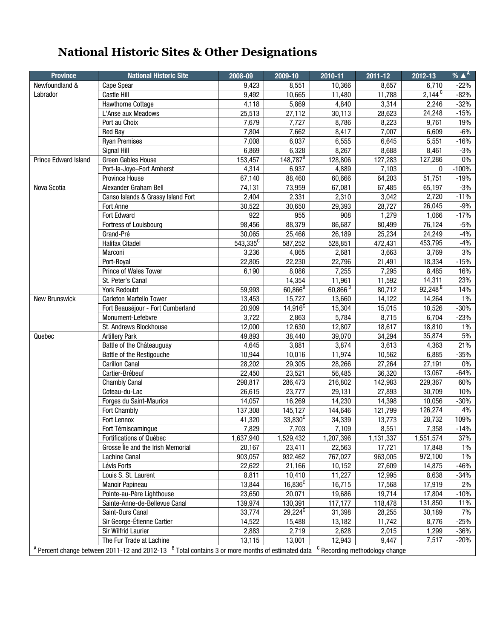# **National Historic Sites & Other Designations**

| <b>Province</b>             | <b>National Historic Site</b>                                                                                                                         | 2008-09     | 2009-10          | 2010-11               | $2011 - 12$ | 2012-13               | % $\triangle^A$ |
|-----------------------------|-------------------------------------------------------------------------------------------------------------------------------------------------------|-------------|------------------|-----------------------|-------------|-----------------------|-----------------|
| Newfoundland &              | Cape Spear                                                                                                                                            | 9,423       | 8,551            | 10,366                | 8,657       | 6,710                 | -22%            |
| Labrador                    | Castle Hill                                                                                                                                           | 9,492       | 10,665           | 11,480                | 11,788      | $2,144^{\circ}$       | -82%            |
|                             | Hawthorne Cottage                                                                                                                                     | 4,118       | 5,869            | 4,840                 | 3,314       | 2,246                 | $-32%$          |
|                             | L'Anse aux Meadows                                                                                                                                    | 25,513      | 27,112           | 30,113                | 28,623      | 24,248                | $-15%$          |
|                             | Port au Choix                                                                                                                                         | 7,679       | 7,727            | 8,786                 | 8,223       | 9,761                 | 19%             |
|                             | <b>Red Bay</b>                                                                                                                                        | 7,804       | 7,662            | 8,417                 | 7,007       | 6,609                 | $-6%$           |
|                             | <b>Ryan Premises</b>                                                                                                                                  | 7,008       | 6,037            | 6,555                 | 6,645       | 5,551                 | $-16%$          |
|                             | Signal Hill                                                                                                                                           | 6,869       | 6,328            | 8,267                 | 8,688       | 8,461                 | $-3%$           |
| <b>Prince Edward Island</b> | Green Gables House                                                                                                                                    | 153,457     | $148,787^B$      | 128,806               | 127,283     | 127,286               | $0\%$           |
|                             | Port-la-Joye-Fort Amherst                                                                                                                             | 4,314       | 6,937            | 4,889                 | 7,103       | $\mathbf{0}$          | $-100%$         |
|                             | Province House                                                                                                                                        | 67,140      | 88,460           | 60,666                | 64,203      | 51,751                | $-19%$          |
| Nova Scotia                 | Alexander Graham Bell                                                                                                                                 | 74,131      | 73,959           | 67,081                | 67,485      | 65,197                | $-3%$           |
|                             | Canso Islands & Grassy Island Fort                                                                                                                    | 2,404       | 2,331            | 2,310                 | 3,042       | 2,720                 | $-11%$          |
|                             | Fort Anne                                                                                                                                             | 30,522      | 30,650           | 29,393                | 28,727      | 26,045                | -9%             |
|                             | Fort Edward                                                                                                                                           | 922         | 955              | 908                   | 1,279       | 1,066                 | $-17%$          |
|                             | Fortress of Louisbourg                                                                                                                                | 98,456      | 88,379           | 86,687                | 80,499      | 76,124                | $-5%$           |
|                             | Grand-Pré                                                                                                                                             | 30,065      | 25,466           | 26,189                | 25,234      | 24,249                | $-4%$           |
|                             | Halifax Citadel                                                                                                                                       | $543,335^C$ | 587,252          | 528,851               | 472,431     | 453,795               | $-4%$           |
|                             | Marconi                                                                                                                                               | 3,236       | 4,865            | 2,681                 | 3,663       | 3,769                 | 3%              |
|                             | Port-Royal                                                                                                                                            | 22,805      | 22,230           | 22,796                | 21,491      | 18,334                | $-15%$          |
|                             | Prince of Wales Tower                                                                                                                                 | 6,190       | 8,086            | 7,255                 | 7,295       | 8,485                 | 16%             |
|                             | St. Peter's Canal                                                                                                                                     |             | 14,354           | 11,961                | 11,592      | 14,311                | 23%             |
|                             | <b>York Redoubt</b>                                                                                                                                   | 59,993      | $60,866^{B}$     | $60,866$ <sup>B</sup> | 80,712      | $92,248$ <sup>B</sup> | 14%             |
| <b>New Brunswick</b>        | Carleton Martello Tower                                                                                                                               | 13,453      | 15,727           | 13,660                | 14,122      | 14,264                | 1%              |
|                             | Fort Beauséjour - Fort Cumberland                                                                                                                     | 20,909      | $14,916^C$       | 15,304                | 15,015      | 10,526                | -30%            |
|                             | Monument-Lefebvre                                                                                                                                     | 3,722       | 2,863            | 5,784                 | 8,715       | 6,704                 | $-23%$          |
|                             | St. Andrews Blockhouse                                                                                                                                | 12,000      | 12,630           | 12,807                | 18,617      | 18,810                | 1%              |
| Quebec                      | <b>Artillery Park</b>                                                                                                                                 | 49,893      | 38,440           | 39,070                | 34,294      | 35,874                | 5%              |
|                             | Battle of the Châteauguay                                                                                                                             | 4,645       | 3,881            | 3,874                 | 3,613       | 4,363                 | 21%             |
|                             | Battle of the Restigouche                                                                                                                             | 10,944      | 10,016           | 11,974                | 10,562      | 6,885                 | $-35%$          |
|                             | <b>Carillon Canal</b>                                                                                                                                 | 28,202      | 29,305           | 28,266                | 27,264      | 27,191                | 0%              |
|                             | Cartier-Brébeuf                                                                                                                                       | 22,450      | 23,521           | 56,485                | 36,320      | 13,067                | $-64%$          |
|                             | <b>Chambly Canal</b>                                                                                                                                  | 298,817     | 286,473          | 216,802               | 142,983     | 229,367               | 60%             |
|                             | Coteau-du-Lac                                                                                                                                         | 26,615      | 23,777           | 29,131                | 27,893      | 30,709                | 10%             |
|                             | Forges du Saint-Maurice                                                                                                                               | 14,057      | 16,269           | 14,230                | 14,398      | 10,056                | $-30%$          |
|                             | Fort Chambly                                                                                                                                          | 137,308     | 145,127          | 144,646               | 121,799     | 126,274               | 4%              |
|                             | Fort Lennox                                                                                                                                           | 41,320      | $33,830^{\circ}$ | 34,339                | 13,773      | 28,732                | 109%            |
|                             | Fort Témiscamingue                                                                                                                                    | 7,829       | 7,703            | 7,109                 | 8,551       | 7,358                 | $-14%$          |
|                             | <b>Fortifications of Québec</b>                                                                                                                       | 1,637,940   | 1,529,432        | 1,207,396             | 1,131,337   | 1,551,574             | 37%             |
|                             | Grosse lle and the Irish Memorial                                                                                                                     | 20,167      | 23,411           | 22,563                | 17,721      | 17,848                | 1%              |
|                             | Lachine Canal                                                                                                                                         | 903,057     | 932,462          | 767,027               | 963,005     | 972,100               | 1%              |
|                             | Lévis Forts                                                                                                                                           | 22,622      | 21,166           | 10,152                | 27,609      | 14,875                | -46%            |
|                             | Louis S. St. Laurent                                                                                                                                  | 8,811       | 10,410           | 11,227                | 12,995      | 8,638                 | $-34%$          |
|                             | <b>Manoir Papineau</b>                                                                                                                                | 13,844      | $16,836^C$       | 16,715                | 17,568      | 17,919                | 2%              |
|                             | Pointe-au-Père Lighthouse                                                                                                                             | 23,650      | 20,071           | 19,686                | 19,714      | 17,804                | $-10%$          |
|                             | Sainte-Anne-de-Bellevue Canal                                                                                                                         | 139,974     | 130,391          | 117,177               | 118,478     | 131,850               | 11%             |
|                             | Saint-Ours Canal                                                                                                                                      | 33,774      | $29,224^C$       | 31,398                | 28,255      | 30,189                | 7%              |
|                             | Sir George-Étienne Cartier                                                                                                                            | 14,522      | 15,488           | 13,182                | 11,742      | 8,776                 | -25%            |
|                             | Sir Wilfrid Laurier                                                                                                                                   | 2,883       | 2,719            | 2,628                 | 2,015       | 1,299                 | $-36%$          |
|                             | The Fur Trade at Lachine                                                                                                                              | 13,115      | 13,001           | 12,943                | 9,447       | 7,517                 | $-20%$          |
|                             | A Percent change between 2011-12 and 2012-13 <sup>B</sup> Total contains 3 or more months of estimated data <sup>C</sup> Recording methodology change |             |                  |                       |             |                       |                 |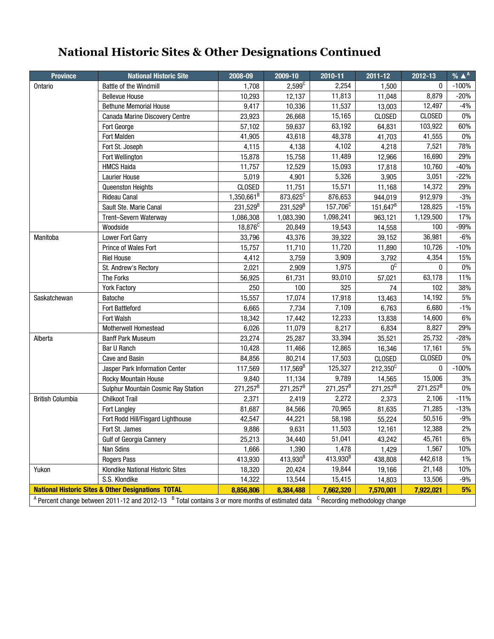# **National Historic Sites & Other Designations Continued**

| <b>Province</b>                                                                                                                                                       | <b>National Historic Site</b>                                 | 2008-09             | 2009-10              | 2010-11                  | 2011-12       | 2012-13                  | % $\triangle^A$ |  |  |
|-----------------------------------------------------------------------------------------------------------------------------------------------------------------------|---------------------------------------------------------------|---------------------|----------------------|--------------------------|---------------|--------------------------|-----------------|--|--|
| Ontario                                                                                                                                                               | Battle of the Windmill                                        | 1,708               | $2,599^{\circ}$      | 2,254                    | 1,500         | $\mathbf{0}$             | $-100%$         |  |  |
|                                                                                                                                                                       | <b>Bellevue House</b>                                         | 10,293              | 12,137               | 11,813                   | 11,048        | 8,879                    | $-20%$          |  |  |
|                                                                                                                                                                       | <b>Bethune Memorial House</b>                                 | 9,417               | 10,336               | 11,537                   | 13,003        | 12,497                   | $-4%$           |  |  |
|                                                                                                                                                                       | <b>Canada Marine Discovery Centre</b>                         | 23,923              | 26,668               | 15,165                   | <b>CLOSED</b> | <b>CLOSED</b>            | $0\%$           |  |  |
|                                                                                                                                                                       | Fort George                                                   | 57,102              | 59,637               | 63,192                   | 64,831        | 103,922                  | 60%             |  |  |
|                                                                                                                                                                       | <b>Fort Malden</b>                                            | 41,905              | 43,618               | 48,378                   | 41,703        | 41,555                   | 0%              |  |  |
|                                                                                                                                                                       | Fort St. Joseph                                               | 4,115               | 4,138                | 4,102                    | 4,218         | 7,521                    | 78%             |  |  |
|                                                                                                                                                                       | Fort Wellington                                               | 15,878              | 15,758               | 11,489                   | 12,966        | 16,690                   | 29%             |  |  |
|                                                                                                                                                                       | <b>HMCS Haida</b>                                             | 11,757              | 12,529               | 15,093                   | 17,818        | 10,760                   | $-40%$          |  |  |
|                                                                                                                                                                       | <b>Laurier House</b>                                          | 5,019               | 4,901                | 5,326                    | 3,905         | 3,051                    | $-22%$          |  |  |
|                                                                                                                                                                       | Queenston Heights                                             | CLOSED              | 11,751               | 15,571                   | 11,168        | 14,372                   | 29%             |  |  |
|                                                                                                                                                                       | Rideau Canal                                                  | $1,350,661^B$       | 873,625 <sup>C</sup> | 876,653                  | 944,019       | 912,979                  | $-3%$           |  |  |
|                                                                                                                                                                       | Sault Ste. Marie Canal                                        | $231,529^{B}$       | $231,529^{B}$        | 157,706 <sup>C</sup>     | $151,647^B$   | 128,825                  | $-15%$          |  |  |
|                                                                                                                                                                       | Trent-Severn Waterway                                         | 1,086,308           | 1,083,390            | 1,098,241                | 963,121       | 1,129,500                | 17%             |  |  |
|                                                                                                                                                                       | Woodside                                                      | 18,876 <sup>C</sup> | 20,849               | 19,543                   | 14,558        | 100                      | -99%            |  |  |
| Manitoba                                                                                                                                                              | Lower Fort Garry                                              | 33,796              | 43,376               | 39,322                   | 39,152        | 36,981                   | $-6%$           |  |  |
|                                                                                                                                                                       | Prince of Wales Fort                                          | 15,757              | 11,710               | 11,720                   | 11,890        | 10,726                   | $-10%$          |  |  |
|                                                                                                                                                                       | <b>Riel House</b>                                             | 4,412               | 3,759                | 3,909                    | 3,792         | 4,354                    | 15%             |  |  |
|                                                                                                                                                                       | St. Andrew's Rectory                                          | 2,021               | 2,909                | 1,975                    | $0^{\circ}$   | $\Omega$                 | $0\%$           |  |  |
|                                                                                                                                                                       | The Forks                                                     | 56,925              | 61,731               | 93,010                   | 57,021        | 63,178                   | 11%             |  |  |
|                                                                                                                                                                       | <b>York Factory</b>                                           | 250                 | 100                  | 325                      | 74            | 102                      | 38%             |  |  |
| Saskatchewan                                                                                                                                                          | <b>Batoche</b>                                                | 15,557              | 17,074               | 17,918                   | 13,463        | 14,192                   | 5%              |  |  |
|                                                                                                                                                                       | <b>Fort Battleford</b>                                        | 6,665               | 7,734                | 7,109                    | 6,763         | 6,680                    | $-1\%$          |  |  |
|                                                                                                                                                                       | Fort Walsh                                                    | 18,342              | 17,442               | 12,233                   | 13,838        | 14,600                   | 6%              |  |  |
|                                                                                                                                                                       | <b>Motherwell Homestead</b>                                   | 6,026               | 11,079               | 8,217                    | 6,834         | 8,827                    | 29%             |  |  |
| Alberta                                                                                                                                                               | <b>Banff Park Museum</b>                                      | 23,274              | 25,287               | 33,394                   | 35,521        | 25,732                   | $-28%$          |  |  |
|                                                                                                                                                                       | Bar U Ranch                                                   | 10,428              | 11,466               | 12,865                   | 16,346        | 17,161                   | 5%              |  |  |
|                                                                                                                                                                       | <b>Cave and Basin</b>                                         | 84,856              | 80,214               | 17,503                   | <b>CLOSED</b> | <b>CLOSED</b>            | $0\%$           |  |  |
|                                                                                                                                                                       | Jasper Park Information Center                                | 117,569             | $117,569^B$          | 125,327                  | $212,350^C$   | $\mathbf{0}$             | $-100%$         |  |  |
|                                                                                                                                                                       | Rocky Mountain House                                          | 9,840               | 11,134               | 9,789                    | 14,565        | 15,006                   | 3%              |  |  |
|                                                                                                                                                                       | Sulphur Mountain Cosmic Ray Station                           | $271,257^B$         | $271,257^B$          | $271,257^{\overline{B}}$ | $271,257^B$   | $271,257^{\overline{B}}$ | 0%              |  |  |
| <b>British Columbia</b>                                                                                                                                               | <b>Chilkoot Trail</b>                                         | 2,371               | 2,419                | 2,272                    | 2,373         | 2,106                    | $-11%$          |  |  |
|                                                                                                                                                                       | Fort Langley                                                  | 81,687              | 84,566               | 70,965                   | 81,635        | 71,285                   | $-13%$          |  |  |
|                                                                                                                                                                       | Fort Rodd Hill/Fisgard Lighthouse                             | 42,547              | 44,221               | 58,198                   | 55,224        | 50,516                   | -9%             |  |  |
|                                                                                                                                                                       | Fort St. James                                                | 9,886               | 9,631                | 11,503                   | 12,161        | 12,388                   | 2%              |  |  |
|                                                                                                                                                                       | Gulf of Georgia Cannery                                       | 25,213              | 34,440               | 51,041                   | 43,242        | 45,761                   | 6%              |  |  |
|                                                                                                                                                                       | Nan Sdins                                                     | 1,666               | 1,390                | 1,478                    | 1,429         | 1,567                    | 10%             |  |  |
|                                                                                                                                                                       | <b>Rogers Pass</b>                                            | 413,930             | 413,930 <sup>B</sup> | $413,930^{B}$            | 438,808       | 442,618                  | $1\%$           |  |  |
| Yukon                                                                                                                                                                 | Klondike National Historic Sites                              | 18,320              | 20,424               | 19,844                   | 19,166        | 21,148                   | 10%             |  |  |
|                                                                                                                                                                       | S.S. Klondike                                                 | 14,322              | 13,544               | 15,415                   | 14,803        | 13,506                   | $-9%$           |  |  |
|                                                                                                                                                                       | <b>National Historic Sites &amp; Other Designations TOTAL</b> | 8,856,806           | 8,384,488            | 7,662,320                | 7,570,001     | 7,922,021                | 5%              |  |  |
| $^{\text{A}}$ Percent change between 2011-12 and 2012-13 $^{\text{B}}$ Total contains 3 or more months of estimated data<br><sup>C</sup> Recording methodology change |                                                               |                     |                      |                          |               |                          |                 |  |  |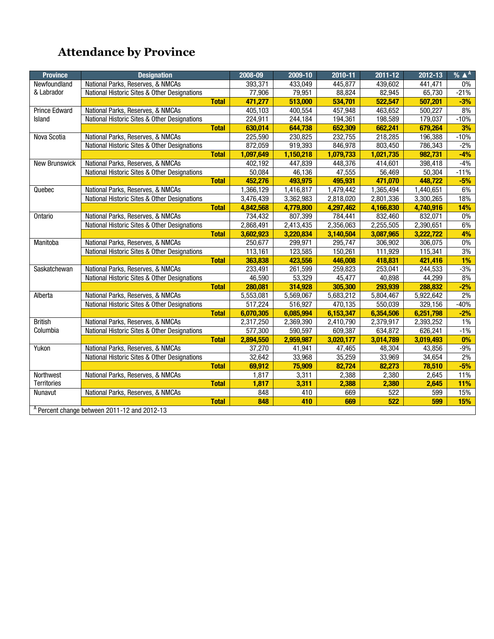# **Attendance by Province**

| <b>Province</b>      | <b>Designation</b>                                      |              | 2008-09   | 2009-10   | 2010-11   | 2011-12   | 2012-13   | % $\triangle^A$ |
|----------------------|---------------------------------------------------------|--------------|-----------|-----------|-----------|-----------|-----------|-----------------|
| Newfoundland         | National Parks, Reserves, & NMCAs                       |              | 393,371   | 433.049   | 445.877   | 439,602   | 441,471   | 0%              |
| & Labrador           | National Historic Sites & Other Designations            |              | 77,906    | 79,951    | 88,824    | 82,945    | 65,730    | $-21%$          |
|                      |                                                         | <b>Total</b> | 471,277   | 513,000   | 534,701   | 522,547   | 507,201   | $-3%$           |
| <b>Prince Edward</b> | National Parks, Reserves, & NMCAs                       |              | 405,103   | 400,554   | 457,948   | 463,652   | 500,227   | 8%              |
| <b>Island</b>        | National Historic Sites & Other Designations            |              | 224,911   | 244,184   | 194,361   | 198,589   | 179,037   | $-10%$          |
|                      |                                                         | <b>Total</b> | 630,014   | 644,738   | 652,309   | 662,241   | 679,264   | 3%              |
| Nova Scotia          | National Parks, Reserves, & NMCAs                       |              | 225,590   | 230,825   | 232,755   | 218,285   | 196,388   | $-10%$          |
|                      | National Historic Sites & Other Designations            |              | 872,059   | 919,393   | 846,978   | 803,450   | 786,343   | $-2%$           |
|                      |                                                         | <b>Total</b> | 1,097,649 | 1,150,218 | 1,079,733 | 1,021,735 | 982,731   | $-4%$           |
| <b>New Brunswick</b> | National Parks, Reserves, & NMCAs                       |              | 402.192   | 447,839   | 448,376   | 414,601   | 398,418   | $-4%$           |
|                      | National Historic Sites & Other Designations            |              | 50,084    | 46,136    | 47,555    | 56,469    | 50,304    | $-11%$          |
|                      |                                                         | <b>Total</b> | 452,276   | 493,975   | 495,931   | 471,070   | 448.722   | $-5%$           |
| Quebec               | National Parks, Reserves, & NMCAs                       |              | 1,366,129 | 1,416,817 | 1,479,442 | 1,365,494 | 1,440,651 | 6%              |
|                      | National Historic Sites & Other Designations            |              | 3,476,439 | 3,362,983 | 2,818,020 | 2,801,336 | 3,300,265 | 18%             |
|                      |                                                         | <b>Total</b> | 4,842,568 | 4,779,800 | 4,297,462 | 4,166,830 | 4,740,916 | 14%             |
| Ontario              | National Parks, Reserves, & NMCAs                       |              | 734,432   | 807,399   | 784,441   | 832,460   | 832,071   | 0%              |
|                      | National Historic Sites & Other Designations            |              | 2,868,491 | 2,413,435 | 2,356,063 | 2,255,505 | 2,390,651 | 6%              |
|                      |                                                         | <b>Total</b> | 3,602,923 | 3,220,834 | 3,140,504 | 3,087,965 | 3,222,722 | 4%              |
| Manitoba             | National Parks, Reserves, & NMCAs                       |              | 250,677   | 299,971   | 295,747   | 306,902   | 306,075   | 0%              |
|                      | National Historic Sites & Other Designations            |              | 113,161   | 123,585   | 150,261   | 111,929   | 115,341   | 3%              |
|                      |                                                         | <b>Total</b> | 363,838   | 423,556   | 446,008   | 418,831   | 421,416   | 1%              |
| Saskatchewan         | National Parks, Reserves, & NMCAs                       |              | 233,491   | 261,599   | 259,823   | 253,041   | 244,533   | $-3%$           |
|                      | National Historic Sites & Other Designations            |              | 46,590    | 53,329    | 45,477    | 40,898    | 44,299    | 8%              |
|                      |                                                         | <b>Total</b> | 280,081   | 314,928   | 305,300   | 293,939   | 288,832   | $-2%$           |
| Alberta              | National Parks, Reserves, & NMCAs                       |              | 5,553,081 | 5,569,067 | 5,683,212 | 5,804,467 | 5,922,642 | $2\%$           |
|                      | National Historic Sites & Other Designations            |              | 517,224   | 516,927   | 470,135   | 550,039   | 329,156   | $-40%$          |
|                      |                                                         | <b>Total</b> | 6,070,305 | 6,085,994 | 6,153,347 | 6,354,506 | 6,251,798 | $-2%$           |
| <b>British</b>       | National Parks, Reserves, & NMCAs                       |              | 2,317,250 | 2,369,390 | 2,410,790 | 2,379,917 | 2,393,252 | $1\%$           |
| Columbia             | National Historic Sites & Other Designations            |              | 577,300   | 590,597   | 609,387   | 634,872   | 626,241   | $-1%$           |
|                      |                                                         | <b>Total</b> | 2,894,550 | 2,959,987 | 3,020,177 | 3,014,789 | 3,019,493 | 0%              |
| Yukon                | National Parks, Reserves, & NMCAs                       |              | 37,270    | 41,941    | 47,465    | 48,304    | 43,856    | $-9%$           |
|                      | National Historic Sites & Other Designations            |              | 32,642    | 33,968    | 35,259    | 33,969    | 34,654    | $2\%$           |
|                      |                                                         | <b>Total</b> | 69,912    | 75,909    | 82,724    | 82,273    | 78,510    | $-5%$           |
| Northwest            | National Parks, Reserves, & NMCAs                       |              | 1,817     | 3,311     | 2,388     | 2,380     | 2,645     | 11%             |
| <b>Territories</b>   |                                                         | <b>Total</b> | 1,817     | 3,311     | 2,388     | 2,380     | 2,645     | 11%             |
| <b>Nunavut</b>       | National Parks, Reserves, & NMCAs                       |              | 848       | 410       | 669       | 522       | 599       | 15%             |
|                      |                                                         | <b>Total</b> | 848       | 410       | 669       | 522       | 599       | 15%             |
|                      | <sup>A</sup> Percent change between 2011-12 and 2012-13 |              |           |           |           |           |           |                 |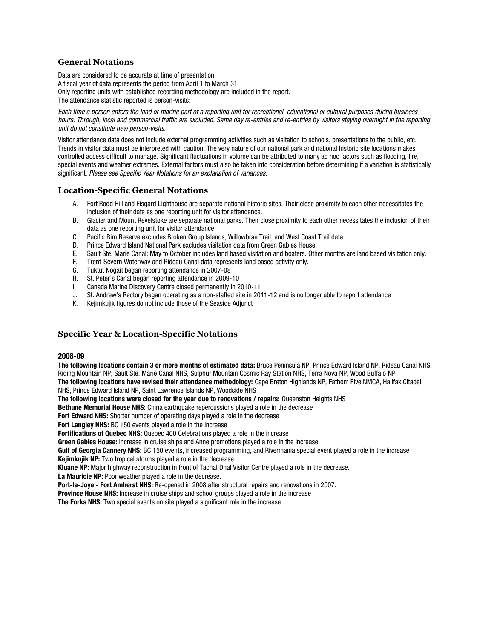#### **General Notations**

Data are considered to be accurate at time of presentation. A fiscal year of data represents the period from April 1 to March 31. Only reporting units with established recording methodology are included in the report. The attendance statistic reported is person-visits:

*Each time a person enters the land or marine part of a reporting unit for recreational, educational or cultural purposes during business hours. Through, local and commercial traffic are excluded. Same day re-entries and re-entries by visitors staying overnight in the reporting unit do not constitute new person-visits.*

Visitor attendance data does not include external programming activities such as visitation to schools, presentations to the public, etc. Trends in visitor data must be interpreted with caution. The very nature of our national park and national historic site locations makes controlled access difficult to manage. Significant fluctuations in volume can be attributed to many ad hoc factors such as flooding, fire, special events and weather extremes. External factors must also be taken into consideration before determining if a variation is statistically significant. *Please see Specific Year Notations for an explanation of variances.*

#### **Location-Specific General Notations**

- A. Fort Rodd Hill and Fisgard Lighthouse are separate national historic sites. Their close proximity to each other necessitates the inclusion of their data as one reporting unit for visitor attendance.
- B. Glacier and Mount Revelstoke are separate national parks. Their close proximity to each other necessitates the inclusion of their data as one reporting unit for visitor attendance.
- C. Pacific Rim Reserve excludes Broken Group Islands, Willowbrae Trail, and West Coast Trail data.
- D. Prince Edward Island National Park excludes visitation data from Green Gables House.
- E. Sault Ste. Marie Canal: May to October includes land based visitation and boaters. Other months are land based visitation only.
- F. Trent-Severn Waterway and Rideau Canal data represents land based activity only.
- G. Tuktut Nogait began reporting attendance in 2007-08
- H. St. Peter's Canal began reporting attendance in 2009-10
- I. Canada Marine Discovery Centre closed permanently in 2010-11
- J. St. Andrew's Rectory began operating as a non-staffed site in 2011-12 and is no longer able to report attendance
- K. Kejimkujik figures do not include those of the Seaside Adjunct

#### **Specific Year & Location-Specific Notations**

#### **2008-09**

**The following locations contain 3 or more months of estimated data:** Bruce Peninsula NP, Prince Edward Island NP, Rideau Canal NHS, Riding Mountain NP, Sault Ste. Marie Canal NHS, Sulphur Mountain Cosmic Ray Station NHS, Terra Nova NP, Wood Buffalo NP

**The following locations have revised their attendance methodology:** Cape Breton Highlands NP, Fathom Five NMCA, Halifax Citadel NHS, Prince Edward Island NP, Saint Lawrence Islands NP, Woodside NHS

**The following locations were closed for the year due to renovations / repairs:** Queenston Heights NHS

**Bethune Memorial House NHS:** China earthquake repercussions played a role in the decrease

**Fort Edward NHS:** Shorter number of operating days played a role in the decrease

**Fort Langley NHS:** BC 150 events played a role in the increase

**Fortifications of Quebec NHS:** Quebec 400 Celebrations played a role in the increase

**Green Gables House:** Increase in cruise ships and Anne promotions played a role in the increase.

**Gulf of Georgia Cannery NHS:** BC 150 events, increased programming, and Rivermania special event played a role in the increase **Kejimkujik NP:** Two tropical storms played a role in the decrease.

**Kluane NP:** Major highway reconstruction in front of Tachal Dhal Visitor Centre played a role in the decrease.

**La Mauricie NP:** Poor weather played a role in the decrease.

**Port-la-Joye - Fort Amherst NHS:** Re-opened in 2008 after structural repairs and renovations in 2007.

**Province House NHS:** Increase in cruise ships and school groups played a role in the increase

**The Forks NHS:** Two special events on site played a significant role in the increase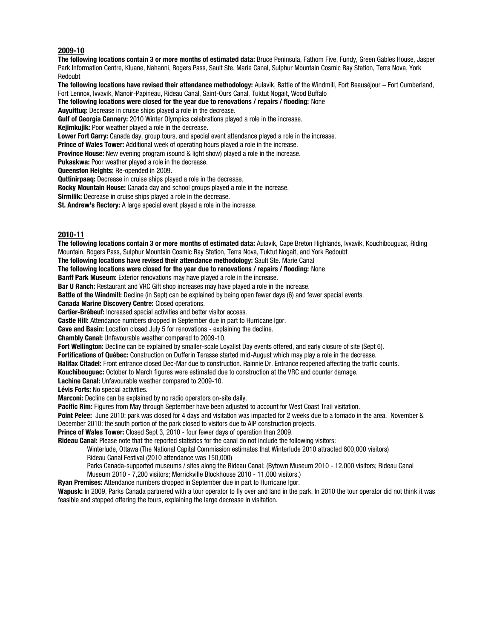#### **2009-10**

**The following locations contain 3 or more months of estimated data:** Bruce Peninsula, Fathom Five, Fundy, Green Gables House, Jasper Park Information Centre, Kluane, Nahanni, Rogers Pass, Sault Ste. Marie Canal, Sulphur Mountain Cosmic Ray Station, Terra Nova, York Redoubt

**The following locations have revised their attendance methodology:** Aulavik, Battle of the Windmill, Fort Beauséjour – Fort Cumberland, Fort Lennox, Ivvavik, Manoir-Papineau, Rideau Canal, Saint-Ours Canal, Tuktut Nogait, Wood Buffalo

**The following locations were closed for the year due to renovations / repairs / flooding:** None

**Auyuittuq:** Decrease in cruise ships played a role in the decrease.

**Gulf of Georgia Cannery:** 2010 Winter Olympics celebrations played a role in the increase.

**Kejimkujik:** Poor weather played a role in the decrease.

**Lower Fort Garry:** Canada day, group tours, and special event attendance played a role in the increase.

**Prince of Wales Tower:** Additional week of operating hours played a role in the increase.

**Province House:** New evening program (sound & light show) played a role in the increase.

**Pukaskwa:** Poor weather played a role in the decrease.

**Queenston Heights:** Re-opended in 2009.

**Quttinirpaaq:** Decrease in cruise ships played a role in the decrease.

**Rocky Mountain House:** Canada day and school groups played a role in the increase.

**Sirmilik:** Decrease in cruise ships played a role in the decrease.

**St. Andrew's Rectory:** A large special event played a role in the increase.

#### **2010-11**

**The following locations contain 3 or more months of estimated data:** Aulavik, Cape Breton Highlands, Ivvavik, Kouchibouguac, Riding Mountain, Rogers Pass, Sulphur Mountain Cosmic Ray Station, Terra Nova, Tuktut Nogait, and York Redoubt

**The following locations have revised their attendance methodology:** Sault Ste. Marie Canal

**The following locations were closed for the year due to renovations / repairs / flooding:** None

**Banff Park Museum:** Exterior renovations may have played a role in the increase.

**Bar U Ranch:** Restaurant and VRC Gift shop increases may have played a role in the increase.

**Battle of the Windmill:** Decline (in Sept) can be explained by being open fewer days (6) and fewer special events.

**Canada Marine Discovery Centre:** Closed operations.

**Cartier-Brébeuf:** Increased special activities and better visitor access.

**Castle Hill:** Attendance numbers dropped in September due in part to Hurricane Igor.

**Cave and Basin:** Location closed July 5 for renovations - explaining the decline.

**Chambly Canal:** Unfavourable weather compared to 2009-10.

**Fort Wellington:** Decline can be explained by smaller-scale Loyalist Day events offered, and early closure of site (Sept 6).

**Fortifications of Québec:** Construction on Dufferin Terasse started mid-August which may play a role in the decrease.

**Halifax Citadel:** Front entrance closed Dec-Mar due to construction. Rainnie Dr. Entrance reopened affecting the traffic counts.

**Kouchibouguac:** October to March figures were estimated due to construction at the VRC and counter damage.

**Lachine Canal:** Unfavourable weather compared to 2009-10.

**Lévis Forts:** No special activities.

**Marconi:** Decline can be explained by no radio operators on-site daily.

**Pacific Rim:** Figures from May through September have been adjusted to account for West Coast Trail visitation.

**Point Pelee:** June 2010: park was closed for 4 days and visitation was impacted for 2 weeks due to a tornado in the area. November & December 2010: the south portion of the park closed to visitors due to AIP construction projects.

**Prince of Wales Tower:** Closed Sept 3, 2010 - four fewer days of operation than 2009.

**Rideau Canal:** Please note that the reported statistics for the canal do not include the following visitors:

Winterlude, Ottawa (The National Capital Commission estimates that Winterlude 2010 attracted 600,000 visitors) Rideau Canal Festival (2010 attendance was 150,000)

Parks Canada-supported museums / sites along the Rideau Canal: (Bytown Museum 2010 - 12,000 visitors; Rideau Canal

Museum 2010 - 7,200 visitors; Merrickville Blockhouse 2010 - 11,000 visitors.)

**Ryan Premises:** Attendance numbers dropped in September due in part to Hurricane Igor.

**Wapusk:** In 2009, Parks Canada partnered with a tour operator to fly over and land in the park. In 2010 the tour operator did not think it was feasible and stopped offering the tours, explaining the large decrease in visitation.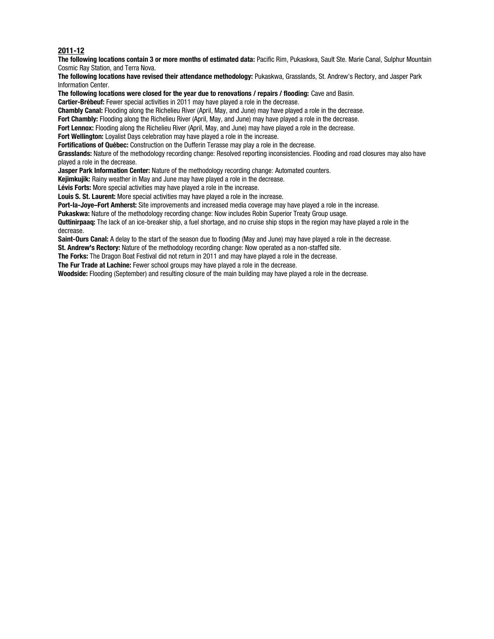#### **2011-12**

**The following locations contain 3 or more months of estimated data:** Pacific Rim, Pukaskwa, Sault Ste. Marie Canal, Sulphur Mountain Cosmic Ray Station, and Terra Nova.

**The following locations have revised their attendance methodology:** Pukaskwa, Grasslands, St. Andrew's Rectory, and Jasper Park Information Center.

**The following locations were closed for the year due to renovations / repairs / flooding:** Cave and Basin.

**Cartier-Brébeuf:** Fewer special activities in 2011 may have played a role in the decrease.

**Chambly Canal:** Flooding along the Richelieu River (April, May, and June) may have played a role in the decrease.

**Fort Chambly:** Flooding along the Richelieu River (April, May, and June) may have played a role in the decrease.

**Fort Lennox:** Flooding along the Richelieu River (April, May, and June) may have played a role in the decrease.

**Fort Wellington:** Loyalist Days celebration may have played a role in the increase.

**Fortifications of Québec:** Construction on the Dufferin Terasse may play a role in the decrease.

**Grasslands:** Nature of the methodology recording change: Resolved reporting inconsistencies. Flooding and road closures may also have played a role in the decrease.

**Jasper Park Information Center:** Nature of the methodology recording change: Automated counters.

**Keijmkujik:** Rainy weather in May and June may have played a role in the decrease.

**Lévis Forts:** More special activities may have played a role in the increase.

**Louis S. St. Laurent:** More special activities may have played a role in the increase.

**Port-la-Joye–Fort Amherst:** Site improvements and increased media coverage may have played a role in the increase.

**Pukaskwa:** Nature of the methodology recording change: Now includes Robin Superior Treaty Group usage.

**Quttinirpaaq:** The lack of an ice-breaker ship, a fuel shortage, and no cruise ship stops in the region may have played a role in the decrease.

**Saint-Ours Canal:** A delay to the start of the season due to flooding (May and June) may have played a role in the decrease.

**St. Andrew's Rectory:** Nature of the methodology recording change: Now operated as a non-staffed site.

**The Forks:** The Dragon Boat Festival did not return in 2011 and may have played a role in the decrease.

**The Fur Trade at Lachine:** Fewer school groups may have played a role in the decrease.

**Woodside:** Flooding (September) and resulting closure of the main building may have played a role in the decrease.